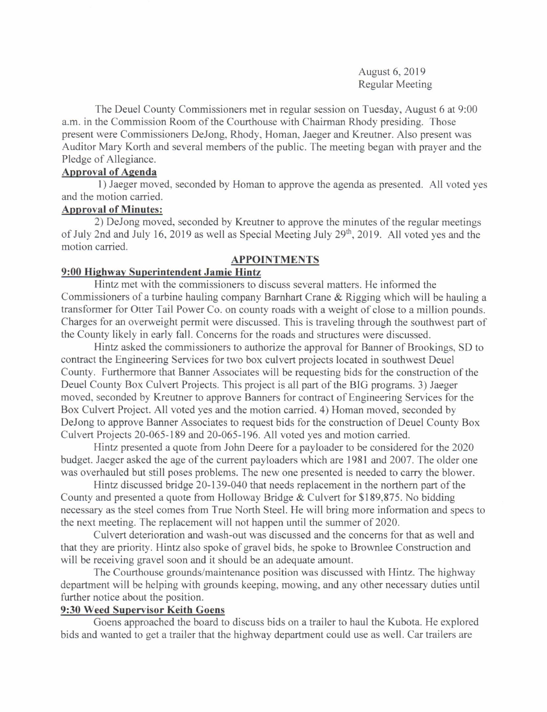August 6, 2019 Regular Meeting

The Deuel County Commissioners met in regular session on Tuesday, August 6 at 9:00 a.m. in the Commission Room of the Courthouse with Chairman Rhody presiding. Those present were Commissioners DeJong, Rhody, Homan, Jaeger and Kreutner. Also present was Auditor Mary Korth and several members of the public. The meeting began with prayer and the Pledge of Allegiance.

# Aporoval of Agenda

<sup>I</sup>) Jaeger moved, seconded by Homan to approve the agenda as presented. All voted yes and the motion carried.

## Aporoval of Minutes:

2) DeJong moved, seconded by Kreutner to approve the minutes of the regular meetings of July 2nd and July 16, 2019 as well as Special Meeting July  $29<sup>th</sup>$ , 2019. All voted yes and the motion carried.

### APPOINTMENTS

#### 9:00 Highway Superintendent Jamie Hintz

Hintz met with the commissioners to discuss several matters. He informed the Commissioners of a turbine hauling company Bamhart Crane & Rigging which will be hauling a transformer for Otter Tail Power Co. on county roads with a weight of close to a million pounds. Charges for an overweight permit were discussed. This is traveling through the southwest part of the County likely in early fall. Concems for the roads and structures were discussed.

Hintz asked the commissioners to authorize the approval for Banner of Brookings, SD to contract the Engineering Services for two box culvert projects located in southwest Deuel County. Furthermore that Banner Associates will be requesting bids for the construction of the Deuel County Box Culvert Projects. This project is all part of the BIG programs. 3) Jaeger moved, seconded by Kreutner to approve Banners for contract of Engineering Services for the Box Culvert Project. All voted yes and the motion carried. 4) Homan moved, seconded by DeJong to approve Banner Associates to request bids for the construction of Deuel County Box Culvert Projects 20-065-189 and 20-065-196. All voted yes and motion carried.

Hintz presented a quote from John Deere for a payloader to be considered for the 2020 budget. Jaeger asked the age of the current payloaders which are 1981 and 2007. The older one was overhauled but still poses problems. The new one presented is needed to carry the blower.

Hintz discussed bridge 20-139-040 that needs replacement in the northern part of the County and presented a quote from Holloway Bridge & Culvert for \$189,875. No bidding necessary as the steel comes from True North Steel. He will bring more information and specs to the next meeting. The replacement will not happen until the summer of 2020.

Culvert deterioration and wash-out was discussed and the concems for that as well and that they are priority. Hintz also spoke of gravel bids, he spoke to Brownlee Construction and will be receiving gravel soon and it should be an adequate amount.

The Courthouse grounds/maintenance position was discussed with Hintz. The highway department witl be helping with grounds keeping, mowing, and any other necessary duties until further notice about the position.

#### 9:30 Weed Supervisor Keith Goens

Goens approached the board to discuss bids on a trailer to haul the Kubota. He explored bids and wanted to get a trailer that the highway department could use as well. Car trailers are